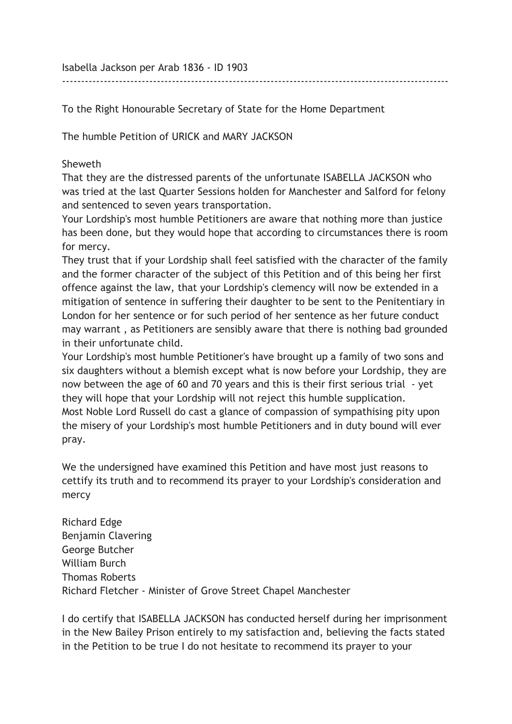Isabella Jackson per Arab 1836 - ID 1903

To the Right Honourable Secretary of State for the Home Department

The humble Petition of URICK and MARY JACKSON

## Sheweth

That they are the distressed parents of the unfortunate ISABELLA JACKSON who was tried at the last Quarter Sessions holden for Manchester and Salford for felony and sentenced to seven years transportation.

------------------------------------------------------------------------------------------------------

Your Lordship's most humble Petitioners are aware that nothing more than justice has been done, but they would hope that according to circumstances there is room for mercy.

They trust that if your Lordship shall feel satisfied with the character of the family and the former character of the subject of this Petition and of this being her first offence against the law, that your Lordship's clemency will now be extended in a mitigation of sentence in suffering their daughter to be sent to the Penitentiary in London for her sentence or for such period of her sentence as her future conduct may warrant , as Petitioners are sensibly aware that there is nothing bad grounded in their unfortunate child.

Your Lordship's most humble Petitioner's have brought up a family of two sons and six daughters without a blemish except what is now before your Lordship, they are now between the age of 60 and 70 years and this is their first serious trial - yet they will hope that your Lordship will not reject this humble supplication. Most Noble Lord Russell do cast a glance of compassion of sympathising pity upon the misery of your Lordship's most humble Petitioners and in duty bound will ever pray.

We the undersigned have examined this Petition and have most just reasons to cettify its truth and to recommend its prayer to your Lordship's consideration and mercy

Richard Edge Benjamin Clavering George Butcher William Burch Thomas Roberts Richard Fletcher - Minister of Grove Street Chapel Manchester

I do certify that ISABELLA JACKSON has conducted herself during her imprisonment in the New Bailey Prison entirely to my satisfaction and, believing the facts stated in the Petition to be true I do not hesitate to recommend its prayer to your